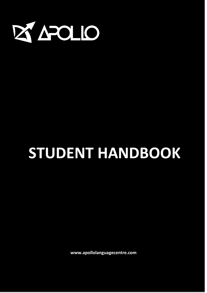

# **STUDENT HANDBOOK**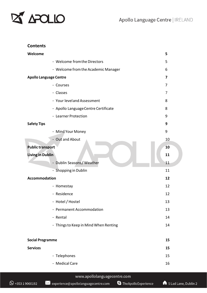

#### **Contents**

| Welcome                               | 5                        |
|---------------------------------------|--------------------------|
| - Welcome from the Directors          | 5                        |
| - Welcome from the Academic Manager   | 6                        |
| <b>Apollo Language Centre</b>         | $\overline{\phantom{a}}$ |
| - Courses                             | 7                        |
| - Classes                             | 7                        |
| - Your level and Assessment           | 8                        |
| - Apollo Language Centre Certificate  | 8                        |
| - Learner Protection                  | 9                        |
| <b>Safety Tips</b>                    | 9                        |
| - Mind Your Money                     | 9                        |
| - Out and About                       | 10                       |
| <b>Public transport</b>               | 10                       |
| <b>Living in Dublin</b>               | 11                       |
| - Dublin Seasons/Weather              | 11                       |
| - Shopping in Dublin                  | 11                       |
| <b>Accommodation</b>                  | 12                       |
| - Homestay                            | 12                       |
| - Residence                           | 12                       |
| - Hotel / Hostel                      | 13                       |
| - Permanent Accommodation             | 13                       |
| - Rental                              | 14                       |
| - Things to Keep in Mind When Renting | 14                       |
|                                       |                          |
| <b>Social Programme</b>               | 15                       |
| <b>Services</b>                       | 15                       |
| - Telephones                          | 15                       |
| - Medical Care                        | 16                       |
|                                       |                          |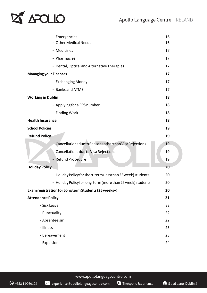## **EX APOLIO**

| - Emergencies                                                | 16 |
|--------------------------------------------------------------|----|
| <b>Other Medical Needs</b>                                   | 16 |
| - Medicines                                                  | 17 |
| - Pharmacies                                                 | 17 |
| - Dental, Optical and Alternative Therapies                  | 17 |
| <b>Managing your Finances</b>                                | 17 |
| - Exchanging Money                                           | 17 |
| - Banks and ATMS                                             | 17 |
| <b>Working in Dublin</b>                                     | 18 |
| - Applying for a PPS number                                  | 18 |
| - Finding Work                                               | 18 |
| <b>Health Insurance</b>                                      | 18 |
| <b>School Policies</b>                                       | 19 |
| <b>Refund Policy</b>                                         | 19 |
| Cancellations due to Reasons other than Visa Rejections      | 19 |
| Cancellations due to Visa Rejections                         | 19 |
| <b>Refund Procedure</b>                                      | 19 |
|                                                              | 20 |
| <b>Holiday Policy</b>                                        |    |
| - Holiday Policy for short-term (less than 25 week) students | 20 |
| - Holiday Policy for long-term (more than 25 week) students  | 20 |
| Exam registration for Long term Students (25 weeks+)         | 20 |
| <b>Attendance Policy</b>                                     | 21 |
| - Sick Leave                                                 | 22 |
| - Punctuality                                                | 22 |
| - Absenteeism                                                | 22 |
| - Illness                                                    | 23 |
| - Bereavement                                                | 23 |

S TheApolloExperience

 $\mathbb{\times}$  experience@apollolanguagecentre.com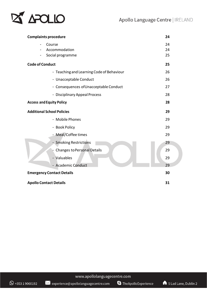

| <b>Complaints procedure</b>               | 24       |
|-------------------------------------------|----------|
| Course<br>Accommodation                   | 24<br>24 |
| Social programme                          | 25       |
| <b>Code of Conduct</b>                    | 25       |
| - Teaching and Learning Code of Behaviour | 26       |
| - Unacceptable Conduct                    | 26       |
| - Consequences of Unacceptable Conduct    | 27       |
| - Disciplinary Appeal Process             | 28       |
| <b>Access and Equity Policy</b>           | 28       |
| <b>Additional School Policies</b>         | 29       |
| - Mobile Phones                           | 29       |
| - Book Policy                             | 29       |
| - Meal/Coffee times                       | 29       |
| - Smoking Restrictions                    | 29       |
| <b>Changes to Personal Details</b>        | 29       |
| - Valuables                               | 29       |
| - Academic Conduct                        | 29       |
| <b>Emergency Contact Details</b>          | 30       |
| <b>Apollo Contact Details</b>             | 31       |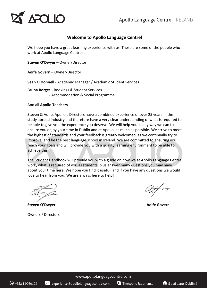## **APOLIO**

### **Welcome to Apollo Language Centre!**

We hope you have a great learning experience with us. These are some of the people who work at Apollo Language Centre:

**Steven O'Dwyer** – Owner/Director

**Aoife Govern** – Owner/Director

**Seán O'Donnell** - Academic Manager / Academic Student Services

**Bruna Borges** - Bookings & Student Services - Accommodation & Social Programme

#### And all **Apollo Teachers**

Steven & Aoife, Apollo's Directors have a combined experience of over 25 years in the study abroad industry and therefore have a very clear understanding of what is required to be able to give you the experience you deserve. We will help you in any way we can to ensure you enjoy your time in Dublin and at Apollo, as much as possible. We strive to meet the highest of standards and your feedback is greatly welcomed, as we continually try to improve, and be the best language school in Ireland. We are committed to ensuring you reach your goals and will provide you with a quality learning environment to be able to achieve this.

The Student Handbook will provide you with a guide on how we at Apollo Language Centre work, what is required of you as students, plus answer many questions you may have about your time here. We hope you find it useful, and if you have any questions we would love to hear from you. We are always here to help!

**Steven O'Dwyer Aoife Govern**

Owners / Directors

www.apollolanguagecentre.com

 $\bowtie$  experience@apollolanguagecentre.com S TheApolloExperience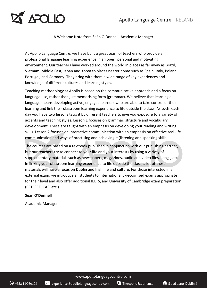## APOLIO

### A Welcome Note from Seán O'Donnell, Academic Manager

At Apollo Language Centre, we have built a great team of teachers who provide a professional language learning experience in an open, personal and motivating environment. Our teachers have worked around the world in places as far away as Brazil, Vietnam, Middle East, Japan and Korea to places nearer home such as Spain, Italy, Poland, Portugal, and Germany. They bring with them a wide range of key experiences and knowledge of different cultures and learning styles.

Teaching methodology at Apollo is based on the communicative approach and a focus on language use, rather than just memorising form (grammar). We believe that learning a language means developing active, engaged learners who are able to take control of their learning and link their classroom learning experience to life outside the class. As such, each day you have two lessons taught by different teachers to give you exposure to a variety of accents and teaching styles. Lesson 1 focuses on grammar, structure and vocabulary development. These are taught with an emphasis on developing your reading and writing skills. Lesson 2 focuses on interactive communication with an emphasis on effective real-life communication and ways of practising and achieving it (listening and speaking skills).

The courses are based on a textbook published in conjunction with our publishing partner, but our teachers try to connect to your life and your interests by using a variety of supplementary materials such as newspapers, magazines, audio and video files, songs, etc. In linking your classroom learning experience to life outside the class, a lot of these materials will have a focus on Dublin and Irish life and culture. For those interested in an external exam, we introduce all students to internationally-recognised exams appropriate for their level and also offer additional IELTS, and University of Cambridge exam preparation (PET, FCE, CAE, etc.).

#### **Seán O'Donnell**

Academic Manager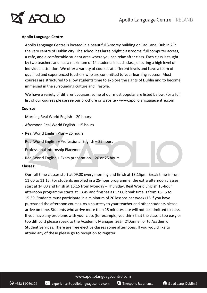

#### **Apollo Language Centre**

Apollo Language Centre is located in a beautiful 3-storey building on Lad Lane, Dublin 2 in the very centre of Dublin city. The school has large bright classrooms, full computer access, a cafe, and a comfortable student area where you can relax after class. Each class is taught by two teachers and has a maximum of 14 students in each class, ensuring a high level of individual attention. We offer a variety of courses at different levels and have a team of qualified and experienced teachers who are committed to your learning success. Most courses are structured to allow students time to explore the sights of Dublin and to become immersed in the surrounding culture and lifestyle.

We have a variety of different courses, some of our most popular are listed below. For a full list of our courses please see our brochure or website - www.apollolanguagecentre.com

#### **Courses**

- Morning Real World English 20 hours
- Afternoon Real World English 15 hours
- Real World English Plus 25 hours
- Real World English + Professional English 25 hours
- Professional Internship Placement
- Real World English + Exam preparation 20 or 25 hours

#### **Classes:**

Our full-time classes start at 09.00 every morning and finish at 13:15pm. Break time is from 11:00 to 11:15. For students enrolled in a 25-hour programme, the extra afternoon classes start at 14.00 and finish at 15.15 from Monday – Thursday. Real World English 15-hour afternoon programme starts at 13.45 and finishes as 17.00 break time is from 15.15 to 15.30. Students must participate in a minimum of 20 lessons per week (15 if you have purchased the afternoon course). As a courtesy to your teacher and other students please arrive on time. Students who arrive more than 15 minutes late will not be admitted to class. If you have any problems with your class (for example, you think that the class is too easy or too difficult) please speak to the Academic Manager, Seán O'Donnell or to Academic Student Services. There are free elective classes some afternoons. If you would like to attend any of these please go to reception to register.

 $\bowtie$  experience@apollolanguagecentre.com

S TheApolloExperience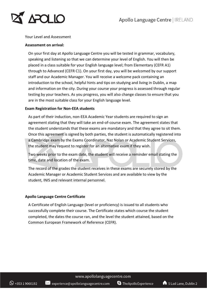

#### Your Level and Assessment

#### **Assessment on arrival:**

On your first day at Apollo Language Centre you will be tested in grammar, vocabulary, speaking and listening so that we can determine your level of English. You will then be placed in a class suitable for your English language level; from Elementary (CEFR A1) through to Advanced (CEFR C1). On your first day, you will be welcomed by our support staff and our Academic Manager. You will receive a welcome pack containing an introduction to the school, helpful hints and tips on studying and living in Dublin, a map and information on the city. During your course your progress is assessed through regular testing by your teachers. As you progress, you will also change classes to ensure that you are in the most suitable class for your English language level.

#### **Exam Registration for Non-EEA students**

As part of their induction, non-EEA Academic Year students are required to sign an agreement stating that they will take an end-of-course exam. The agreement states that the student understands that these exams are mandatory and that they agree to sit them. Once this agreement is signed by both parties, the student is automatically registered into a Cambridge exam by the Exams Coordinator, Naz Nolan or Academic Student Services, the student may request to register for an alternative exam if they wish.

Two weeks prior to the exam date, the student will receive a reminder email stating the time, date and location of the exam.

The record of the grades the student receives in these exams are securely stored by the Academic Manager or Academic Student Services and are available to view by the student, INIS and relevant internal personnel.

#### **Apollo Language Centre Certificate**

A Certificate of English Language (level or proficiency) is issued to all students who successfully complete their course. The Certificate states which course the student completed, the dates the course ran, and the level the student attained, based on the Common European Framework of Reference (CEFR).

www.apollolanguagecentre.com

 $\bowtie$  experience@apollolanguagecentre.com

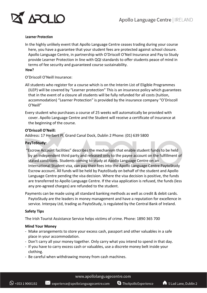

#### **Learner Protection**

In the highly unlikely event that Apollo Language Centre ceases trading during your course here, you have a guarantee that your student fees are protected against school closure. Apollo Language Centre, in partnership with O'Driscoll O'Neil Insurance and Pay to Study provide Learner Protection in line with QQI standards to offer students peace of mind in terms of fee security and guaranteed course sustainability.

#### **How?**

O'Driscoll O'Neill Insurance:

All students who register for a course which is on the Interim List of Eligible Programmes (ILEP) will be covered by "Learner protection" This is an insurance policy which guarantees that in the event of a closure all students will be fully refunded for all costs (tuition, accommodation) "Learner Protection" is provided by the insurance company "O'Driscoll O'Neill"

Every student who purchases a course of 25 weeks will automatically be provided with cover. Apollo Language Centre and the Student will receive a certificate of insurance at the beginning of the course.

#### **O'Driscoll O'Neill:**

Address: 17 Herbert Pl, Grand Canal Dock, Dublin 2 Phone: (01) 639 5800

#### **PayToStudy:**

"Escrow Account facilities" describes the mechanism that enable student funds to be held by an independent third party and released only to the payee account on the fulfillment of stated conditions. Students coming to study at Apollo Language Centre on an International Student visa, can pay their fees into the Apollo Language Centre PaytoStudy Escrow account. All funds will be held by PaytoStudy on behalf of the student and Apollo Language Centre pending the visa decision. Where the visa decision is positive, the funds are transferred to Apollo Language Centre. If the visa application is refused, the funds (less any pre-agreed charges) are refunded to the student.

Payments can be made using all standard banking methods as well as credit & debit cards. PaytoStudy are the leaders in money management and have a reputation for excellence in service. Interpay Ltd, trading as PaytoStudy, is regulated by the Central Bank of Ireland.

#### **Safety Tips**

The Irish Tourist Assistance Service helps victims of crime. Phone: 1890 365 700

#### **Mind Your Money**

- Make arrangements to store your excess cash, passport and other valuables in a safe place in your accommodation.
- Don't carry all your money together. Only carry what you intend to spend in that day.
- If you have to carry excess cash or valuables, use a discrete money belt inside your clothing.
- Be careful when withdrawing money from cash machines.

 $\mathbb{X}$  experience@apollolanguagecentre.com

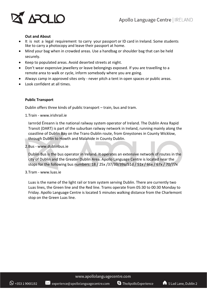

#### **Out and About**

- It is not a legal requirement to carry your passport or ID card in Ireland. Some students like to carry a photocopy and leave their passport at home.
- Mind your bag when in crowded areas. Use a handbag or shoulder bag that can be held securely.
- Keep to populated areas. Avoid deserted streets at night.
- Don't wear expensive jewellery or leave belongings exposed. If you are travelling to a remote area to walk or cycle, inform somebody where you are going.
- Always camp in approved sites only never pitch a tent in open spaces or public areas.
- Look confident at all times.

#### **Public Transport**

Dublin offers three kinds of public transport – train, bus and tram.

1.Train - www.irishrail.ie

Iarnród Éireann is the national railway system operator of Ireland. The Dublin Area Rapid Transit (DART) is part of the suburban railway network in Ireland, running mainly along the coastline of Dublin Bay on the Trans-Dublin route, from Greystones in County Wicklow, through Dublin to Howth and Malahide in County Dublin.

#### 2.Bus - www.dublinbus.ie

Dublin Bus is the bus operator in Ireland. It operates an extensive network of routes in the city of Dublin and the Greater Dublin Area. Apollo Language Centre is located near the stops for the following bus numbers: 18 / 25x /37/39/39a/51d / 51x / 66x / 67x / 70/77x

3.Tram - www.luas.ie

Luas is the name of the light rail or tram system serving Dublin. There are currently two Luas lines, the Green line and the Red line. Trams operate from 05:30 to 00:30 Monday to Friday. Apollo Language Centre is located 5 minutes walking distance from the Charlemont stop on the Green Luas line.

www.apollolanguagecentre.com

 $\frac{1}{2}$  experience@apollolanguagecentre.com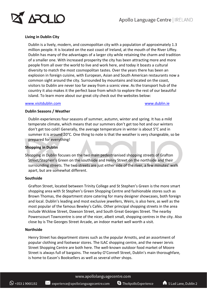

#### **Living in Dublin City**

Dublin is a lively, modern, and cosmopolitan city with a population of approximately 1.3 million people. It is located on the east coast of Ireland, at the mouth of the River Liffey. Dublin has many of the advantages of a larger city while retaining the charm and tradition of a smaller one. With increased prosperity the city has been attracting more and more people from all over the world to live and work here, and today it boasts a cultural diversity to match the most cosmopolitan tastes. Over the years there has been an explosion in foreign cuisine, with European, Asian and South American restaurants now a common sight around the city. Surrounded by mountains and located on the coast, visitors to Dublin are never too far away from a scenic view. As the transport hub of the country it also makes it the perfect base from which to explore the rest of our beautiful island. To learn more about our great city check out the websites below:

#### [www.visitdublin.com](http://www.visitdublin.com/) [www.dublin.ie](http://www.dublin.ie/)

#### **Dublin Seasons / Weather**

Dublin experiences four seasons of summer, autumn, winter and spring. It has a mild temperate climate, which means that our summers don't get too hot and our winters don't get too cold! Generally, the average temperature in winter is about 5°C and in summer it is around 20°C. One thing to note is that the weather is very changeable, so be prepared for everything!

#### **Shopping in Dublin**

Shopping in Dublin focuses on the two main pedestrianised shopping streets of Grafton Street/Stephen's Green on the southside and Henry Street on the northside and their surrounding streets. The two streets are just either side of the river, a few minutes' walk apart, but are somewhat different.

#### **Southside**

Grafton Street, located between Trinity College and St Stephen's Green is the more smart shopping area with St Stephen's Green Shopping Centre and fashionable stores such as Brown Thomas, the department store catering for many designer showcases, both foreign and local. Dublin's leading and most exclusive jewellers, Weirs, is also here, as well as the most popular of the famous Bewley's Cafés. Other principal shopping streets in the area include Wicklow Street, Dawson Street, and South Great Georges Street. The nearby Powerscourt Towncentre is one of the nicer, albeit small, shopping centres in the city. Also close by is The Georges Street Arcade, an indoor market well worth a visit.

#### **Northside**

Henry Street has department stores such as the popular Arnotts, and an assortment of popular clothing and footwear stores. The ILAC shopping centre, and the newer Jervis Street Shopping Centre are both here. The well-known outdoor food market of Moore Street is always full of bargains. The nearby O'Connell Street, Dublin's main thoroughfare, is home to Eason's Booksellers as well as several other shops.

 $\mathbb{X}$  experience@apollolanguagecentre.com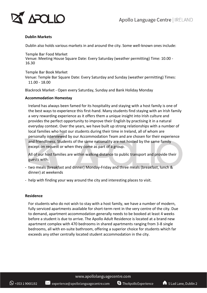

#### **Dublin Markets**

Dublin also holds various markets in and around the city. Some well-known ones include:

Temple Bar Food Market Venue: Meeting House Square Date: Every Saturday (weather permitting) Time: 10.00 - 16.30

Temple Bar Book Market Venue: Temple Bar Square Date: Every Saturday and Sunday (weather permitting) Times: 11.00 - 18.00

Blackrock Market - Open every Saturday, Sunday and Bank Holiday Monday

#### **Accommodation Homestay**

Ireland has always been famed for its hospitality and staying with a host family is one of the best ways to experience this first-hand. Many students find staying with an Irish family a very rewarding experience as it offers them a unique insight into Irish culture and provides the perfect opportunity to improve their English by practising it in a natural everyday context. Over the years, we have built up strong relationships with a number of local families who host our students during their time in Ireland, all of whom are personally interviewed by our Accommodation Team and are chosen for their experience and friendliness. Students of the same nationality are not hosted by the same family except on request or when they come as part of a group.

All of our host families are within walking distance to public transport and provide their guests with:

- two meals (breakfast and dinner) Monday-Friday and three meals (breakfast, lunch & dinner) at weekends
- help with finding your way around the city and interesting places to visit.

#### **Residence**

For students who do not wish to stay with a host family, we have a number of modern, fully serviced apartments available for short-term rent in the very centre of the city. Due to demand, apartment accommodation generally needs to be booked at least 4 weeks before a student is due to arrive. The Apollo Adult Residence is located at a brand new apartment complex with 470 bedrooms in shared apartments ranging from 3-8 single bedrooms, all with en-suite bathroom, offering a superior choice for students which far exceeds any other centrally located student accommodation in the city.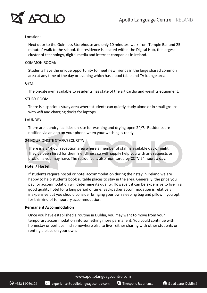

#### Location:

Next door to the Guinness Storehouse and only 10 minutes' walk from Temple Bar and 25 minutes' walk to the school, the residence is located within the Digital Hub, the largest cluster of technology, digital media and internet companies in Ireland.

#### COMMON ROOM:

Students have the unique opportunity to meet new friends in the large shared common area at any time of the day or evening which has a pool table and TV lounge area.

#### GYM:

The on-site gym available to residents has state of the art cardio and weights equipment.

#### STUDY ROOM:

There is a spacious study area where students can quietly study alone or in small groups with wifi and charging docks for laptops.

#### LAUNDRY:

There are laundry facilities on-site for washing and drying open 24/7. Residents are notified via an app on your phone when your washing is ready.

#### 24 HOUR ONSITE STAFF/SECURITY:

There is a 24-hour reception area where a member of staff is available day or night. They've been hired for their friendliness so will happily help you with any requests or problems you may have. The residence is also monitored by CCTV 24 hours a day.

#### **Hotel / Hostel**

If students require hostel or hotel accommodation during their stay in Ireland we are happy to help students book suitable places to stay in the area. Generally, the price you pay for accommodation will determine its quality. However, it can be expensive to live in a good quality hotel for a long period of time. Backpacker accommodation is relatively inexpensive but you should consider bringing your own sleeping bag and pillow if you opt for this kind of temporary accommodation.

#### **Permanent Accommodation**

Once you have established a routine in Dublin, you may want to move from your temporary accommodation into something more permanent. You could continue with homestay or perhaps find somewhere else to live - either sharing with other students or renting a place on your own.

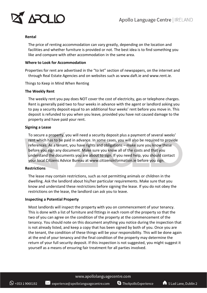

#### **Rental**

The price of renting accommodation can vary greatly, depending on the location and facilities and whether furniture is provided or not. The best idea is to find something you like and compare with other accommodation in the same area.

#### **Where to Look for Accommodation**

Properties for rent are advertised in the "to let" section of newspapers, on the internet and through Real Estate Agencies and on websites such as www.daft.ie and www.rent.ie.

Things to Keep in Mind When Renting

#### **The Weekly Rent**

The weekly rent you pay does NOT cover the cost of electricity, gas or telephone charges. Rent is generally paid two to four weeks in advance with the agent or landlord asking you to pay a security deposit equal to an additional four weeks' rent before you move in. This deposit is refunded to you when you leave, provided you have not caused damage to the property and have paid your rent.

#### **Signing a Lease**

To secure a property, you will need a security deposit plus a payment of several weeks' rent which has to be paid in advance. In some cases, you will also be required to provide references. As a tenant, you have rights and obligations – make sure you know these before you sign any document. Make sure you know all of the costs and that you understand the documents you are about to sign. If you need help, you should contact your local Citizens Advice Bureau at www.citizensinformation.ie before you sign.

#### **Restrictions**

The lease may contain restrictions, such as not permitting animals or children in the dwelling. Ask the landlord about his/her particular requirements. Make sure that you know and understand these restrictions before signing the lease. If you do not obey the restrictions on the lease, the landlord can ask you to leave.

#### **Inspecting a Potential Property**

Most landlords will inspect the property with you on commencement of your tenancy. This is done with a list of furniture and fittings in each room of the property so that the two of you can agree on the condition of the property at the commencement of the tenancy. You should note on this document anything you notice during the inspection that is not already listed, and keep a copy that has been signed by both of you. Once you are the tenant, the condition of these things will be your responsibility. This will be done again at the end of your tenancy and the final condition of the property may determine the return of your full security deposit. If this inspection is not suggested, you might suggest it yourself as a means of ensuring fair treatment for all parties involved.

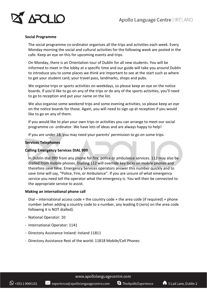

#### **Social Programme**

The social programme co-ordinator organises all the trips and activities each week. Every Monday morning the social and cultural activities for the following week are posted in the cafe. Keep an eye on this for upcoming events and trips.

On Monday, there is an Orientation tour of Dublin for all new students. You will be informed to meet in the lobby at a specific time and our guide will take you around Dublin to introduce you to some places we think are important to see at the start such as where to get your student card, your travel pass, landmarks, shops and pubs.

We organise trips or sports activities on weekdays, so please keep an eye on the notice boards. If you'd like to go on any of the trips or do any of the sports activities, you'll need to go to reception and put your name on the list.

We also organise some weekend trips and some evening activities, so please keep an eye on the notice boards for those. Again, you will need to sign up at reception if you would like to go on any of them.

If you would like to plan your own trips or activities you can arrange to meet our social programme co- ordinator. We have lots of ideas and are always happy to help!

If you are under 18, you may need your parents' permission to go on some trips.

#### **Services Telephones**

#### **Calling Emergency Services DIAL 999**

In Dublin dial 999 from any phone for fire, police or ambulance services. 112 may also be dialled from mobile phones. Dialling 112 will override key locks on mobile phones and therefore save time. Emergency Services operators answer this number quickly and to save time will say, "Police, Fire, or Ambulance". If you are unsure of what emergency service you need tell the operator what the emergency is. You will then be connected to the appropriate service to assist.

#### **Making an international phone call**

Dial – international access code + the country code + the area code (if required) + phone number (when adding a country code to a number, any leading 0 (zero) on the area code following it is NOT dialled).

- National Operator: 10
- International Operator: 1141
- Directory Assistance Ireland: Ireland 11811
- Directory Assistance Rest of the world: 11818 Mobile/Cell Phones

 $\mathbb{X}$  experience@apollolanguagecentre.com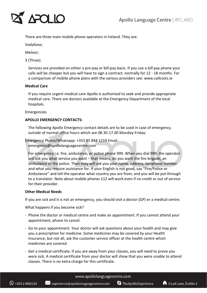

There are three main mobile phone operators in Ireland. They are:

Vodafone;

Meteor;

3 (Three).

Services are provided on either a pre-pay or bill-pay basis. If you use a bill pay phone your calls will be cheaper but you will have to sign a contract, normally for 12 - 18 months. For a comparison of mobile phone plans with the various providers see: www.callcosts.ie

#### **Medical Care**

If you require urgent medical care Apollo is authorised to seek and provide appropriate medical care. There are doctors available at the Emergency Department of the local hospitals.

#### Emergencies

#### **APOLLO EMERGENCY CONTACTS:**

The following Apollo Emergency contact details are to be used in case of emergency, outside of normal office hours which are 08.30-17.00 Monday-Friday:

```
Emergency Phone/Whatsapp: +353 85 844 1219 Email:
```
emergency@apollolanguagecentre.com

For emergency i.e. fire, ambulance, or police phone 999. When you dial 999, the operator will ask you what service you want – that means, do you want the fire brigade, an ambulance or the police. Then they will ask you your name, address, telephone number and what you require assistance for. If your English is not good, say "Fire/Police or Ambulance" and tell the operator what country you are from, and you will be put through to a translator. Note about mobile phones 112 will work even if no credit or out of service for their provider.

#### **Other Medical Needs**

If you are sick and it is not an emergency, you should visit a doctor (GP) or a medical centre.

What happens if you become sick?

- Phone the doctor or medical centre and make an appointment. If you cannot attend your appointment, phone to cancel.
- Go to your appointment. Your doctor will ask questions about your health and may give you a prescription for medicine. Some medicines may be covered by your Health Insurance, but not all, ask the customer service officer at the health centre which medicines are covered.
- Get a medical certificate. If you are away from your classes, you will need to prove you were sick. A medical certificate from your doctor will show that you were unable to attend classes. There is no extra charge for this certificate.

#### www.apollolanguagecentre.com

S TheApolloExperience

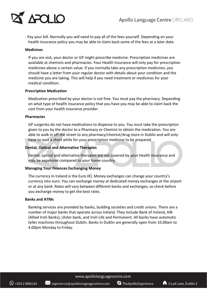

- Pay your bill. Normally you will need to pay all of the fees yourself. Depending on your health insurance policy you may be able to claim back some of the fees at a later date.

#### **Medicines**

If you are sick, your doctor or GP might prescribe medicine. Prescription medicines are available at chemists and pharmacies. Your Health Insurance will only pay for prescription medicines above a certain value. If you normally take any prescription medicines, you should have a letter from your regular doctor with details about your condition and the medicine you are taking. This will help if you need treatment or medicines for your medical condition.

#### **Prescription Medication**

Medication prescribed by your doctor is not free. You must pay the pharmacy. Depending on what type of health insurance policy that you have you may be able to claim back the cost from your health insurance provider.

#### **Pharmacies**

GP surgeries do not have medications to dispense to you. You must take the prescription given to you by the doctor to a Pharmacy or Chemist to obtain the medication. You are able to walk in off the street to any pharmacy/chemist/drug store in Dublin and will only have to wait a short while for your prescription medicine to be prepared.

#### **Dental, Optical and Alternative Therapies**

Dental, optical and alternative therapies are not covered by your Health Insurance and may be expensive compared to your home country.

#### **Managing Your Finances Exchanging Money**

The currency in Ireland is the Euro  $(\epsilon)$ . Money exchanges can change your country's currency into euro. You can exchange money at dedicated money exchanges at the airport or at any bank. Rates will vary between different banks and exchanges, so check before you exchange money to get the best rates.

#### **Banks and ATMs**

Banking services are provided by banks, building societies and credit unions. There are a number of major banks that operate across Ireland. They include Bank of Ireland, AIB (Allied Irish Banks), Ulster bank, and Irish Life and Permanent. All banks have automatic teller machines throughout Dublin. Banks in Dublin are generally open from 10.00am to 4.00pm Monday to Friday.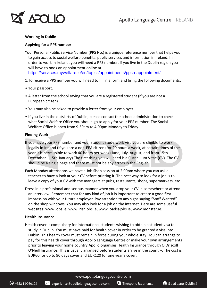

#### **Working in Dublin**

#### **Applying for a PPS number**

Your Personal Public Service Number (PPS No.) is a unique reference number that helps you to gain access to social welfare benefits, public services and information in Ireland. In order to work in Ireland, you will need a PPS number. If you live in the Dublin region you will have to book an appointment online at <https://services.mywelfare.ie/en/topics/appointments/ppsn-appointment/>

- 1.To receive a PPS number you will need to fill in a form and bring the following documents:
- Your passport.
- A letter from the school saying that you are a registered student (if you are not a European citizen)
- You may also be asked to provide a letter from your employer.
- If you live in the outskirts of Dublin, please contact the school administration to check what Social Welfare Office you should go to apply for your PPS number. The Social Welfare Office is open from 9.30am to 4.00pm Monday to Friday.

#### **Finding Work**

- If you have your PPS number and your student study-work visa you are eligible to work legally in Ireland (if you are a non-EEA citizen) for 20 hours a week, at certain times of the year it is permissible to work 40 hours per week (June, July, August, and from 15th December – 15th January) The first thing you will need is a Curriculum Vitae (CV). The CV should be a single page and there must not be any errors in the English.
- Each Monday afternoons we have a Job Shop session at 2.00pm where you can ask a teacher to have a look at your CV before printing it. The best way to look for a job is to leave a copy of your CV with the managers at pubs, restaurants, shops, supermarkets, etc.
- Dress in a professional and serious manner when you drop your CV in somewhere or attend an interview. Remember that for any kind of job it is important to create a good first impression with your future employer. Pay attention to any signs saying "Staff Wanted" on the shop windows. You may also look for a job on the internet. Here are some useful websites: www.jobs.ie, www.irishjobs.ie, www.loadsajobs.ie, www.monster.ie.

#### **Health Insurance**

Health cover is compulsory for international students wishing to obtain a student visa to study in Dublin. You must have paid for health cover in order to be granted a visa into Dublin. This health cover must remain in force during your whole stay. You can arrange to pay for this health cover through Apollo Language Centre or make your own arrangements prior to leaving your home country.Apollo organises Health Insurance through O'Driscoll O'Neill Insurance. This is usually arranged before students arrive in the country. The cost is EUR60 for up to 90 days cover and EUR120 for one year's cover.

 $\mathbb{X}$  experience@apollolanguagecentre.com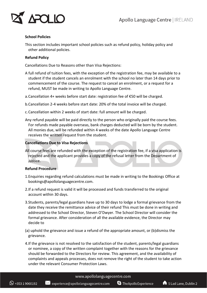

#### **School Policies**

This section includes important school policies such as refund policy, holiday policy and other additional policies.

#### **Refund Policy**

Cancellations Due to Reasons other than Visa Rejections:

- A full refund of tuition fees, with the exception of the registration fee, may be available to a student if the student cancels an enrolment with the school no later than 14 days prior to commencement of the course. The request to cancel an enrolment, or a request for a refund, MUST be made in writing to Apollo Language Centre.
- a.Cancellation 4+ weeks before start date: registration fee of €50 will be charged.
- b.Cancellation 2-4 weeks before start date: 20% of the total invoice will be charged.
- c.Cancellation within 2 weeks of start date: full amount will be charged.
- Any refund payable will be paid directly to the person who originally paid the course fees. For refunds made payable overseas, bank charges deducted will be born by the student. All monies due, will be refunded within 4 weeks of the date Apollo Language Centre receives the written request from the student.

#### **Cancellations Due to Visa Rejections**

All course fees are refunded with the exception of the registration fee, if a visa application is rejected and the applicant provides a copy of the refusal letter from the Department of Justice.

#### **Refund Procedure**

- 1.Enquiries regarding refund calculations must be made in writing to the Bookings Office at bookings@apollolanguagecentre.com.
- 2.If a refund request is valid it will be processed and funds transferred to the original account within 30 days.
- 3.Students, parents/legal guardians have up to 30 days to lodge a formal grievance from the date they receive the remittance advice of their refund This must be done in writing and addressed to the School Director, Steven O'Dwyer. The School Director will consider the formal grievance. After consideration of all the available evidence, the Director may decide to
- (a) uphold the grievance and issue a refund of the appropriate amount, or (b)dismiss the grievance.
- 4.If the grievance is not resolved to the satisfaction of the student, parents/legal guardians or nominee, a copy of the written complaint together with the reasons for the grievance should be forwarded to the Directors for review. This agreement, and the availability of complaints and appeals processes, does not remove the right of the student to take action under the relevant Consumer Protection Laws.

#### www.apollolanguagecentre.com

S TheApolloExperience

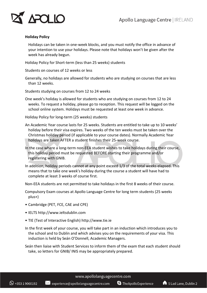

#### **Holiday Policy**

Holidays can be taken in one-week blocks, and you must notify the office in advance of your intention to use your holidays. Please note that holidays won't be given after the week has already begun.

Holiday Policy for Short-term (less than 25 weeks) students

Students on courses of 12 weeks or less

Generally, no holidays are allowed for students who are studying on courses that are less than 12 weeks.

Students studying on courses from 12 to 24 weeks

One week's holiday is allowed for students who are studying on courses from 12 to 24 weeks. To request a holiday, please go to reception. This request will be logged on the school online system. Holidays must be requested at least one week in advance.

Holiday Policy for long-term (25 weeks) students

An Academic Year course lasts for 25 weeks. Students are entitled to take up to 10 weeks' holiday before their visa expires. Two weeks of the ten weeks must be taken over the Christmas holiday period (if applicable to your course dates). Normally Academic Year holidays are taken AFTER a student finishes their 25-week course.

In the case where a long-term non-EEA student wishes to take holidays during their course, this holiday period must be requested BEFORE starting their programme and/or registering with GNIB.

In addition, holiday periods cannot at any point exceed 1/3 of the total weeks elapsed. This means that to take one week's holiday during the course a student will have had to complete at least 3 weeks of course first.

Non-EEA students are not permitted to take holidays in the first 8 weeks of their course.

Compulsory Exam courses at Apollo Language Centre for long term students (25 weeks plus+)

- Cambridge (PET, FCE, CAE and CPE)
- IELTS http://www.ieltsdublin.com
- TIE (Test of Interactive English) http://www.tie.ie

 $\mathbb{X}$  experience@apollolanguagecentre.com

In the first week of your course, you will take part in an induction which introduces you to the school and to Dublin and which advises you on the requirements of your visa. This induction is held by Seán O'Donnell, Academic Managers.

Seán then liaise with Student Services to inform them of the exam that each student should take, so letters for GNIB/ INIS may be appropriately prepared.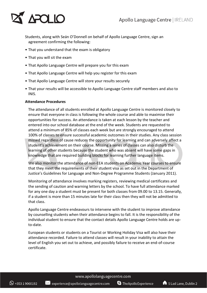## APOLIO

Students, along with Seán O'Donnell on behalf of Apollo Language Centre, sign an agreement confirming the following:

- That you understand that the exam is obligatory
- That you will sit the exam
- That Apollo Language Centre will prepare you for this exam
- That Apollo Language Centre will help you register for this exam
- That Apollo Language Centre will store your results securely
- That your results will be accessible to Apollo Language Centre staff members and also to INIS.

#### **Attendance Procedures**

The attendance of all students enrolled at Apollo Language Centre is monitored closely to ensure that everyone in class is following the whole course and able to maximise their opportunities for success. An attendance is taken at each lesson by the teacher and entered into our school database at the end of the week. Students are requested to attend a minimum of 85% of classes each week but are strongly encouraged to attend 100% of classes to ensure successful academic outcomes in their studies. Any class session missed regardless of cause reduces the opportunity for learning and can adversely affect a student's achievement on their course. Missing a series of classes can also disturb the learning of other students because the student who was absent will have some gaps in knowledge that are required building blocks for learning further language items.

We also monitor the attendance of non-EEA students on Academic Year courses to ensure that they meet the requirements of their student visa as set out in the Department of Justice's Guidelines for Language and Non-Degree Programme Students (January 2011).

Monitoring of attendance involves marking registers, reviewing medical certificates and the sending of caution and warning letters by the school. To have full attendance marked for any one day a student must be present for both classes from 09.00 to 13.15. Generally, if a student is more than 15 minutes late for their class then they will not be admitted to that class.

Apollo Language Centre endeavours to intervene with the student to improve attendance by counselling students when their attendance begins to fall. It is the responsibility of the individual student to ensure that the contact details Apollo Language Centre holds are upto-date.

European students or students on a Tourist or Working Holiday Visa will also have their attendance recorded. Failure to attend classes will result in your inability to attain the level of English you set out to achieve, and possibly failure to receive an end-of-course certificate.

www.apollolanguagecentre.com

 $\bowtie$  experience@apollolanguagecentre.com S TheApolloExperience

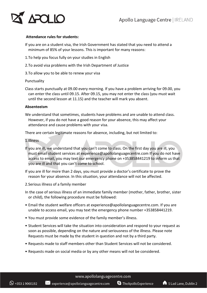

#### **Attendance rules for students:**

- If you are on a student visa, the Irish Government has stated that you need to attend a minimum of 85% of your lessons. This is important for many reasons:
- 1.To help you focus fully on your studies in English
- 2.To avoid visa problems with the Irish Department of Justice
- 3.To allow you to be able to renew your visa

#### Punctuality

Class starts punctually at 09.00 every morning. If you have a problem arriving for 09.00, you can enter the class until 09.15. After 09.15, you may not enter the class (you must wait until the second lesson at 11.15) and the teacher will mark you absent.

#### **Absenteeism**

We understand that sometimes, students have problems and are unable to attend class. However, if you do not have a good reason for your absence, this may affect your attendance and cause problems with your visa.

There are certain legitimate reasons for absence, including, but not limited to:

#### 1.Illness

- If you are ill, we understand that you can't come to class. On the first day you are ill, you must email student services at experience@apollolanguagecentre.com If you do not have access to email, you may text our emergency phone on +353858441219 to inform us that you are ill and that you can't come to school.
- If you are ill for more than 2 days, you must provide a doctor's certificate to prove the reason for your absence. In this situation, your attendance will not be affected.
- 2.Serious illness of a family member
- In the case of serious illness of an immediate family member (mother, father, brother, sister or child), the following procedure must be followed:
- Email the student welfare officers at experience@apollolanguagecentre.com. If you are unable to access email, you may text the emergency phone number +353858441219.
- You must provide some evidence of the family member's illness.

 $\mathbb{X}$  experience@apollolanguagecentre.com

- Student Services will take the situation into consideration and respond to your request as soon as possible, depending on the nature and seriousness of the illness. Please note Requests must be made by the student in question and not by a third party.
- Requests made to staff members other than Student Services will not be considered.
- Requests made on social media or by any other means will not be considered.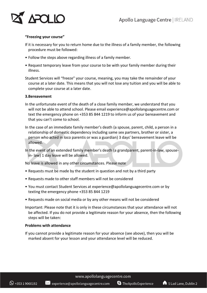

#### **"Freezing your course"**

- If it is necessary for you to return home due to the illness of a family member, the following procedure must be followed:
- Follow the steps above regarding illness of a family member.
- Request temporary leave from your course to be with your family member during their illness.
- Student Services will "freeze" your course, meaning, you may take the remainder of your course at a later date. This means that you will not lose any tuition and you will be able to complete your course at a later date.

#### **3.Bereavement**

- In the unfortunate event of the death of a close family member, we understand that you will not be able to attend school. Please email experience@apollolanguagecentre.com or text the emergency phone on +353 85 844 1219 to inform us of your bereavement and that you can't come to school.
- In the case of an immediate family member's death (a spouse, parent, child, a person in a relationship of domestic dependency including same sex partners, brother or sister, a person who acted in loco parentis or was a guardian) 3 days' bereavement leave will be allowed.

In the event of an extended family member's death (a grandparent, parent-in-law, spousein- law) 1 day leave will be allowed.

No leave is allowed in any other circumstances. Please note

- Requests must be made by the student in question and not by a third party
- Requests made to other staff members will not be considered

 $\frac{1}{2}$  experience@apollolanguagecentre.com

- You must contact Student Services at experience@apollolanguagecentre.com or by texting the emergency phone +353 85 844 1219
- Requests made on social media or by any other means will not be considered
- Important: Please note that it is only in these circumstances that your attendance will not be affected. If you do not provide a legitimate reason for your absence, then the following steps will be taken:

#### **Problems with attendance**

If you cannot provide a legitimate reason for your absence (see above), then you will be marked absent for your lesson and your attendance level will be reduced.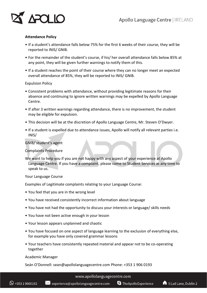

#### **Attendance Policy**

- If a student's attendance falls below 75% for the first 6 weeks of their course, they will be reported to INIS/ GNIB.
- For the remainder of the student's course, if his/ her overall attendance falls below 85% at any point, they will be given further warnings to notify them of this.
- If a student reaches the point of their course where they can no longer meet an expected overall attendance of 85%, they will be reported to INIS/ GNIB.

#### Expulsion Policy

- Consistent problems with attendance, without providing legitimate reasons for their absence and continuing to ignore written warnings may be expelled by Apollo Language Centre.
- If after 3 written warnings regarding attendance, there is no improvement, the student may be eligible for expulsion.
- This decision will be at the discretion of Apollo Language Centre, Mr. Steven O'Dwyer.
- If a student is expelled due to attendance issues, Apollo will notify all relevant parties i.e. INIS/

#### GNIB/ student's agent

Complaints Procedure

We want to help you if you are not happy with any aspect of your experience at Apollo Language Centre. If you have a complaint, please come to Student Services at any time to speak to us.

#### Your Language Course

Examples of Legitimate complaints relating to your Language Course:

- You feel that you are in the wrong level
- You have received consistently incorrect information about language
- You have not had the opportunity to discuss your interests or language/ skills needs
- You have not been active enough in your lesson
- Your lesson appears unplanned and chaotic
- You have focused on one aspect of language learning to the exclusion of everything else, for example you have only covered grammar lessons
- Your teachers have consistently repeated material and appear not to be co-operating together

#### Academic Manager

Seán O'Donnell: sean@apollolanguagecentre.com Phone: +353 1 906 0193

#### www.apollolanguagecentre.com

S TheApolloExperience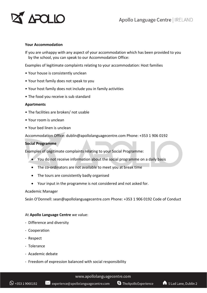### APOLIO

#### **Your Accommodation**

If you are unhappy with any aspect of your accommodation which has been provided to you by the school, you can speak to our Accommodation Office:

Examples of legitimate complaints relating to your accommodation: Host families

- Your house is consistently unclean
- Your host family does not speak to you
- Your host family does not include you in family activities
- The food you receive is sub standard

#### **Apartments**

- The facilities are broken/ not usable
- Your room is unclean
- Your bed linen is unclean

Accommodation Office: dublin@apollolanguagecentre.com Phone: +353 1 906 0192

#### **Social Programme**

Examples of Legitimate complaints relating to your Social Programme:

- You do not receive information about the social programme on a daily basis
- The co-ordinators are not available to meet you at break time
- The tours are consistently badly organised
- Your input in the programme is not considered and not asked for.

#### Academic Manager

Seán O'Donnell: sean@apollolanguagecentre.com Phone: +353 1 906 0192 Code of Conduct

#### At **Apollo Language Centre** we value:

- Difference and diversity
- Cooperation
- Respect
- Tolerance
- Academic debate
- Freedom of expression balanced with social responsibility

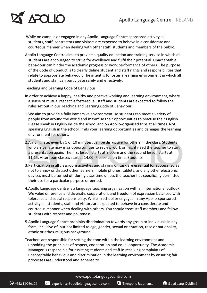

While on campus or engaged in any Apollo Language Centre sponsored activity, all students, staff, contractors and visitors are expected to behave in a considerate and courteous manner when dealing with other staff, students and members of the public.

Apollo Language Centre aims to provide a quality education and training service in which all students are encouraged to strive for excellence and fulfil their potential. Unacceptable behaviour can hinder the academic progress or work performance of others. The purpose of the Code of Conduct is to clearly define student and staff rights and responsibilities that relate to appropriate behaviour. The intent is to foster a learning environment in which all students and staff can participate safely and effectively.

Teaching and Learning Code of Behaviour

- In order to achieve a happy, healthy and positive working and learning environment, where a sense of mutual respect is fostered, all staff and students are expected to follow the rules set out in our Teaching and Learning Code of Behaviour.
- 1.We aim to provide a fully immersive environment, so students can meet a variety of people from around the world and maximise their opportunities to practise their English. Please speak in English inside the school and on Apollo-organised trips at all times. Not speaking English in the school limits your learning opportunities and damages the learning environment for others.
- 2.Arriving late, even by 5 or 10 minutes, can be disruptive for others in the class. Students who arrive late may miss opportunities to review work or might need the teacher to start a presentation again. The first lesson starts at 9.00am and the second lesson starts at 11.15. Afternoon classes start at 14.00. Please be on time. Students
- 3.Participation in all classroom activities and staying on task are essential for success. So as not to annoy or distract other learners, mobile phones, tablets, and any other electronic devices must be turned off during class time unless the teacher has specifically permitted their use for a particular purpose or period.
- 4.Apollo Language Centre is a language teaching organisation with an international outlook. We value difference and diversity, cooperation, and freedom of expression balanced with tolerance and social responsibility. While in school or engaged in any Apollo-sponsored activity, all students, staff and visitors are expected to behave in a considerate and courteous manner when dealing with others. You should treat staff members and fellow students with respect and politeness.
- 5.Apollo Language Centre prohibits discrimination towards any group or individuals in any form, inclusive of, but not limited to age, gender, sexual orientation, race or nationality, ethnic or ethos-religious background.
- Teachers are responsible for setting the tone within the learning environment and upholding the principles of respect, cooperation and equal opportunity. The Academic Manager is responsible for assisting students and staff in resolving complaints of unacceptable behaviour and discrimination in the learning environment by ensuring fair processes are understood and adhered to.

#### www.apollolanguagecentre.com

 $\bowtie$  experience@apollolanguagecentre.com

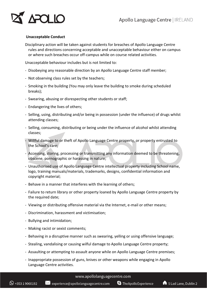

#### **Unacceptable Conduct**

Disciplinary action will be taken against students for breaches of Apollo Language Centre rules and directions concerning acceptable and unacceptable behaviour either on campus or where such breaches occur off-campus while on course related activities.

Unacceptable behaviour includes but is not limited to:

- Disobeying any reasonable direction by an Apollo Language Centre staff member;
- Not observing class rules set by the teachers;
- Smoking in the building (You may only leave the building to smoke during scheduled breaks);
- Swearing, abusing or disrespecting other students or staff;
- Endangering the lives of others;
- Selling, using, distributing and/or being in possession (under the influence) of drugs whilst attending classes;
- Selling, consuming, distributing or being under the influence of alcohol whilst attending classes;
- Willful damage to or theft of Apollo Language Centre property, or property entrusted to the School's care;
- Accessing, storing, processing or transmitting any information deemed to be threatening, obscene, pornographic or harassing in nature;
- Unauthorised use of Apollo Language Centre intellectual property including School name, logo, training manuals/materials, trademarks, designs, confidential information and copyright material;
- Behave in a manner that interferes with the learning of others;
- Failure to return library or other property loaned by Apollo Language Centre property by the required date;
- Viewing or distributing offensive material via the Internet, e-mail or other means;
- Discrimination, harassment and victimisation;
- Bullying and intimidation;
- Making racist or sexist comments;
- Behaving in a disruptive manner such as swearing, yelling or using offensive language;
- Stealing, vandalising or causing wilful damage to Apollo Language Centre property;
- Assaulting or attempting to assault anyone while on Apollo Language Centre premises;
- Inappropriate possession of guns, knives or other weapons while engaging in Apollo Language Centre activities.

#### www.apollolanguagecentre.com

S TheApolloExperience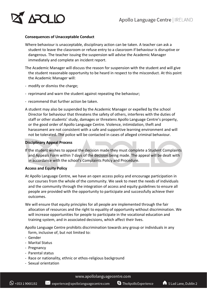

#### **Consequences of Unacceptable Conduct**

- Where behaviour is unacceptable, disciplinary action can be taken. A teacher can ask a student to leave the classroom or refuse entry to a classroom if behaviour is disruptive or dangerous. The teacher issuing the suspension will advise the Academic Manager immediately and complete an incident report.
- The Academic Manager will discuss the reason for suspension with the student and will give the student reasonable opportunity to be heard in respect to the misconduct. At this point the Academic Manager will:
- modify or dismiss the charge;
- reprimand and warn the student against repeating the behaviour;
- recommend that further action be taken.
- A student may also be suspended by the Academic Manager or expelled by the school Director for behaviour that threatens the safety of others, interferes with the duties of staff or other students' study, damages or threatens Apollo Language Centre's property, or the good order of Apollo Language Centre. Violence, intimidation, theft and harassment are not consistent with a safe and supportive learning environment and will not be tolerated. The police will be contacted in cases of alleged criminal behaviour.

#### **Disciplinary Appeal Process**

If the student wishes to appeal the decision made they must complete a Student Complaints and Appeals Form within 7 days of the decision being made. The appeal will be dealt with in accordance with the school's Complaints Policy and Procedure.

#### **Access and Equity Policy**

- At Apollo Language Centre, we have an open access policy and encourage participation in our courses from the whole of the community. We seek to meet the needs of individuals and the community through the integration of access and equity guidelines to ensure all people are provided with the opportunity to participate and successfully achieve their outcomes.
- We will ensure that equity principles for all people are implemented through the fair allocation of resources and the right to equality of opportunity without discrimination. We will increase opportunities for people to participate in the vocational education and training system, and in associated decisions, which affect their lives.

Apollo Language Centre prohibits discrimination towards any group or individuals in any form, inclusive of, but not limited to:

- Gender
- Marital Status
- Pregnancy
- Parental status
- Race or nationality, ethnic or ethos-religious background
- Sexual orientation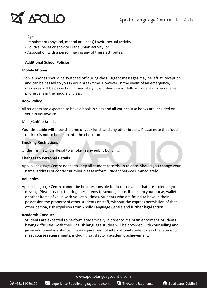

#### - Age

- Impairment (physical, mental or illness) Lawful sexual activity
- Political belief or activity Trade union activity, or
- Association with a person having any of these attributes.

#### **Additional School Policies**

#### **Mobile Phones**

Mobile phones should be switched off during class. Urgent messages may be left at Reception and can be passed to you in your break time. However, in the event of an emergency, messages will be passed on immediately. It is unfair to your fellow students if you receive phone calls in the middle of class.

#### **Book Policy**

All students are expected to have a book in class and all your course books are included on your initial invoice.

#### **Meal/Coffee Breaks**

Your timetable will show the time of your lunch and any other breaks. Please note that food or drink is not to be taken into the classroom.

#### **Smoking Restrictions**

Under Irish law it is illegal to smoke in any public building.

#### **Changes to Personal Details**

Apollo Language Centre needs to keep all student records up to date. Should you change your name, address or contact number please inform Student Services immediately.

#### **Valuables**

Apollo Language Centre cannot be held responsible for items of value that are stolen or go missing. Please try not to bring these items to school., if possible. Keep your purse, wallet, or other items of value with you at all times. Students who are found to have in their possession the property of other students or staff, without the express permission of that other person, risk expulsion from Apollo Language Centre and further legal action.

#### **Academic Conduct**

Students are expected to perform academically in order to maintain enrolment. Students having difficulties with their English language studies will be provided with counselling and given additional assistance. It is a requirement of international student visas that students meet course requirements, including satisfactory academic achievement.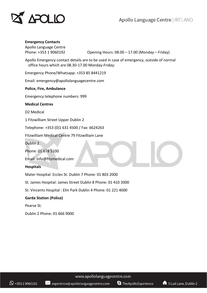



#### **Emergency Contacts**

Apollo Language Centre

Phone: +353 1 9060192 Opening Hours: 08.00 – 17.00 (Monday – Friday)

Apollo Emergency contact details are to be used in case of emergency, outside of normal office hours which are 08.30-17.00 Monday-Friday:

Emergency Phone/Whatsapp: +353 85 8441219

Email: emergency@apollolanguagecentre.com

**Police, Fire, Ambulance**

Emergency telephone numbers: 999

**Medical Centres**

D2 Medical

1 Fitzwilliam Street Upper Dublin 2

Telephone: +353 (0)1 631 4500 / Fax: 6624263

Fitzwilliam Medical Centre 79 Fitzwilliam Lane

Dublin 2

Phone: 01 678 5100

Email: info@fitzmedical.com

#### **Hospitals**

Mater Hospital: Eccles St. Dublin 7 Phone: 01 803 2000

St. James Hospital: James Street Dublin 8 Phone: 01 410 3000

St. Vincents Hospital : Elm Park Dublin 4 Phone: 01 221 4000

#### **Garda Station (Police)**

Pearse St.

Dublin 2 Phone: 01 666 9000